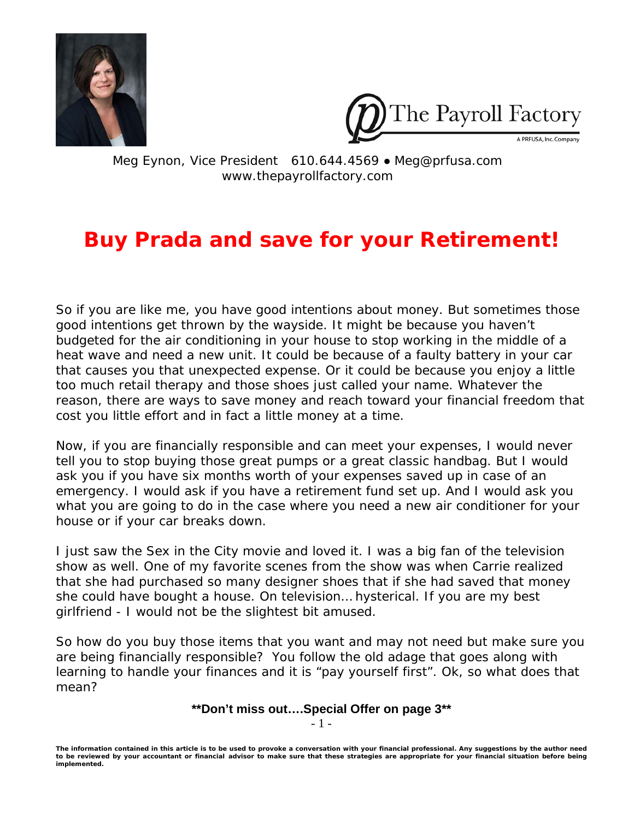



Meg Eynon, Vice President 610.644.4569 ● Meg@prfusa.com www.thepayrollfactory.com

## **Buy Prada and save for your Retirement!**

So if you are like me, you have good intentions about money. But sometimes those good intentions get thrown by the wayside. It might be because you haven't budgeted for the air conditioning in your house to stop working in the middle of a heat wave and need a new unit. It could be because of a faulty battery in your car that causes you that unexpected expense. Or it could be because you enjoy a little too much retail therapy and those shoes just called your name. Whatever the reason, there are ways to save money and reach toward your financial freedom that cost you little effort and in fact a little money at a time.

Now, if you are financially responsible and can meet your expenses, I would never tell you to stop buying those great pumps or a great classic handbag. But I would ask you if you have six months worth of your expenses saved up in case of an emergency. I would ask if you have a retirement fund set up. And I would ask you what you are going to do in the case where you need a new air conditioner for your house or if your car breaks down.

I just saw the Sex in the City movie and loved it. I was a big fan of the television show as well. One of my favorite scenes from the show was when Carrie realized that she had purchased so many designer shoes that if she had saved that money she could have bought a house. On television… hysterical. If you are my best girlfriend - I would not be the slightest bit amused.

So how do you buy those items that you want and may not need but make sure you are being financially responsible? You follow the old adage that goes along with learning to handle your finances and it is "pay yourself first". Ok, so what does that mean?

> **\*\*Don't miss out….Special Offer on page 3\*\***  - 1 -

*The information contained in this article is to be used to provoke a conversation with your financial professional. Any suggestions by the author need to be reviewed by your accountant or financial advisor to make sure that these strategies are appropriate for your financial situation before being implemented.*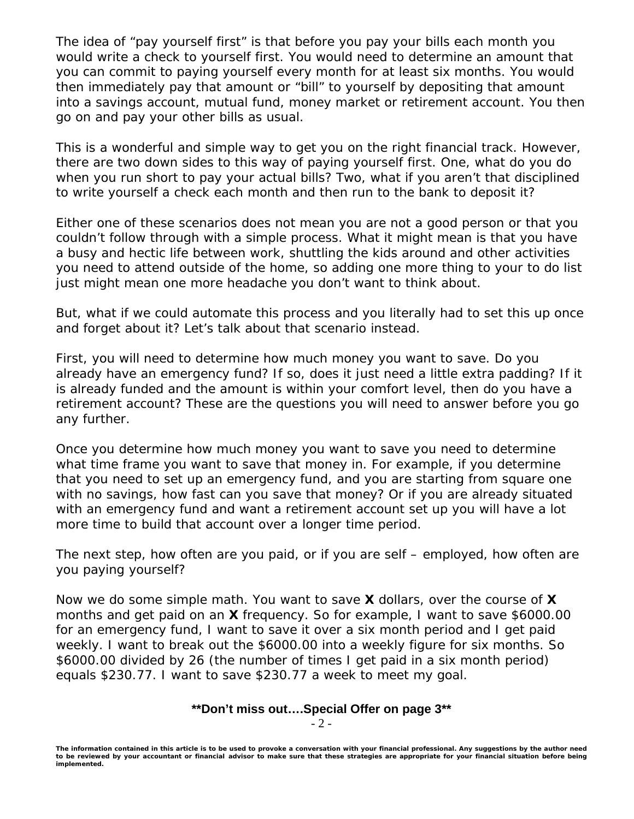The idea of "pay yourself first" is that before you pay your bills each month you would write a check to yourself first. You would need to determine an amount that you can commit to paying yourself every month for at least six months. You would then immediately pay that amount or "bill" to yourself by depositing that amount into a savings account, mutual fund, money market or retirement account. You then go on and pay your other bills as usual.

This is a wonderful and simple way to get you on the right financial track. However, there are two down sides to this way of paying yourself first. One, what do you do when you run short to pay your actual bills? Two, what if you aren't that disciplined to write yourself a check each month and then run to the bank to deposit it?

Either one of these scenarios does not mean you are not a good person or that you couldn't follow through with a simple process. What it might mean is that you have a busy and hectic life between work, shuttling the kids around and other activities you need to attend outside of the home, so adding one more thing to your to do list just might mean one more headache you don't want to think about.

But, what if we could automate this process and you literally had to set this up once and forget about it? Let's talk about that scenario instead.

First, you will need to determine how much money you want to save. Do you already have an emergency fund? If so, does it just need a little extra padding? If it is already funded and the amount is within your comfort level, then do you have a retirement account? These are the questions you will need to answer before you go any further.

Once you determine how much money you want to save you need to determine what time frame you want to save that money in. For example, if you determine that you need to set up an emergency fund, and you are starting from square one with no savings, how fast can you save that money? Or if you are already situated with an emergency fund and want a retirement account set up you will have a lot more time to build that account over a longer time period.

The next step, how often are you paid, or if you are self – employed, how often are you paying yourself?

Now we do some simple math. You want to save **X** dollars, over the course of **X** months and get paid on an **X** frequency. So for example, I want to save \$6000.00 for an emergency fund, I want to save it over a six month period and I get paid weekly. I want to break out the \$6000.00 into a weekly figure for six months. So \$6000.00 divided by 26 (the number of times I get paid in a six month period) equals \$230.77. I want to save \$230.77 a week to meet my goal.

## **\*\*Don't miss out….Special Offer on page 3\*\***

- 2 -

*The information contained in this article is to be used to provoke a conversation with your financial professional. Any suggestions by the author need to be reviewed by your accountant or financial advisor to make sure that these strategies are appropriate for your financial situation before being implemented.*